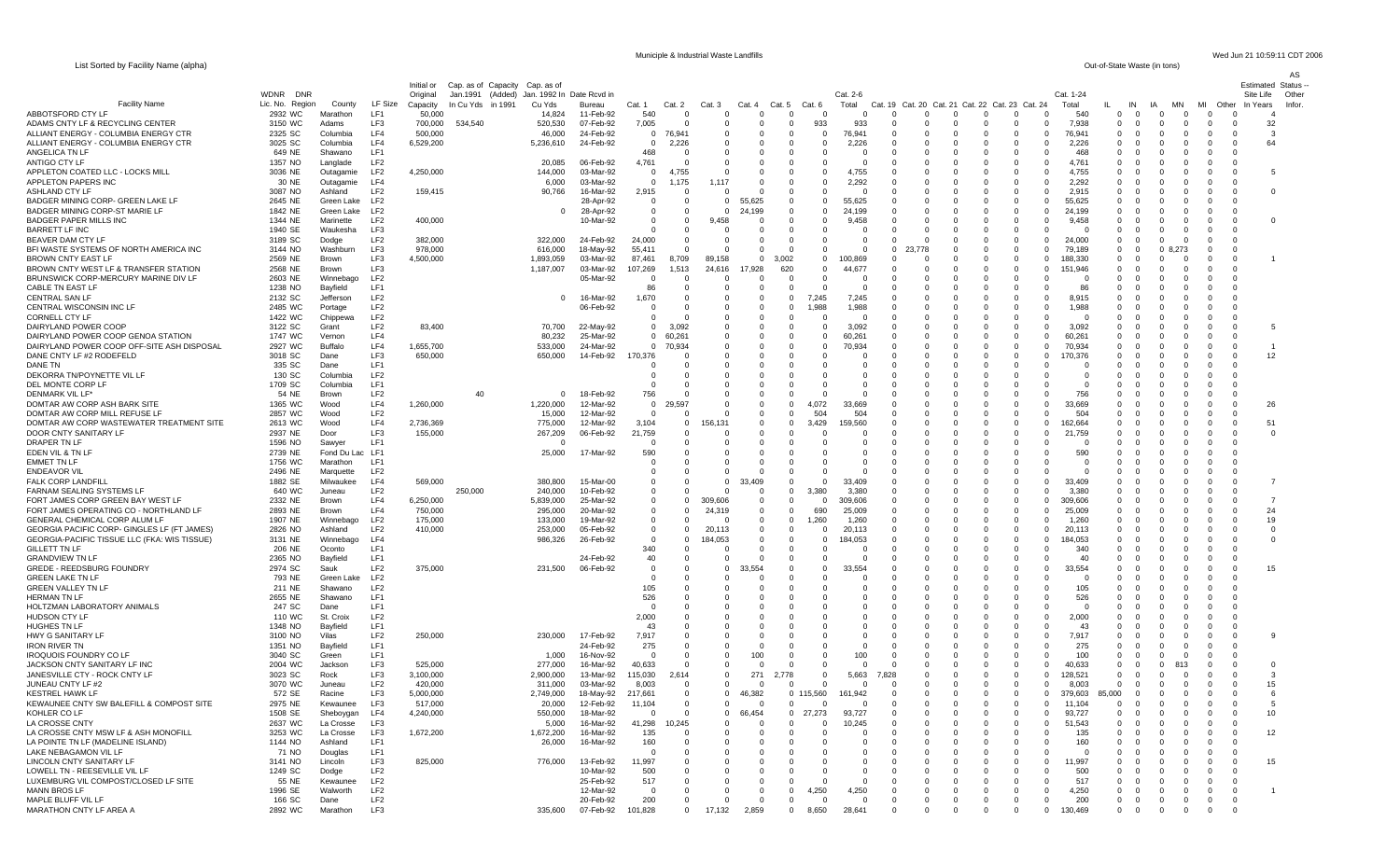List Sorted by Facility Name (alpha)

Municiple & Industrial Waste Landfills Wed Jun 21 10:59:11 CDT 2006<br>
Out-of-State Waste (in tons)

| List corted by Facility Name (alpha)                                             |                    |                          |                                    |                      |                                |                      |                        |                                  |                          |                      |                        |                        |                      |                      |                      |                                                    |                      |                                                             |                     | <b>Uut-UI-Ulate Waste (III tulis)</b> |                                                               |                          |                                                   |                         | AS     |
|----------------------------------------------------------------------------------|--------------------|--------------------------|------------------------------------|----------------------|--------------------------------|----------------------|------------------------|----------------------------------|--------------------------|----------------------|------------------------|------------------------|----------------------|----------------------|----------------------|----------------------------------------------------|----------------------|-------------------------------------------------------------|---------------------|---------------------------------------|---------------------------------------------------------------|--------------------------|---------------------------------------------------|-------------------------|--------|
|                                                                                  |                    |                          |                                    | Initial or           | Cap. as of Capacity Cap. as of |                      |                        |                                  |                          |                      |                        |                        |                      |                      |                      |                                                    |                      |                                                             |                     |                                       |                                                               |                          |                                                   | <b>Estimated Status</b> |        |
|                                                                                  | WDNR<br>DNR        |                          |                                    | Original             | Jan.1991<br>(Added)            | Jan. 1992 In         | Date Rcvd in           |                                  |                          |                      |                        |                        |                      | Cat. 2-6             |                      |                                                    |                      |                                                             | Cat. 1-24           |                                       |                                                               |                          |                                                   | Site Life               | Other  |
| <b>Facility Name</b><br>ABBOTSFORD CTY LF                                        | Lic. No. Region    | County                   | LF Size<br>LF1                     | Capacity             | In Cu Yds in 1991              | Cu Yds               | Bureau                 | Cat. 1                           | Cat. 2<br>$\Omega$       | Cat. 3<br>0          | Cat. 4<br>$\Omega$     | Cat. 5<br>$\Omega$     | Cat.                 | Total<br>$\Omega$    |                      | $\Omega$<br>$\Omega$                               | $\Omega$             | Cat. 19 Cat. 20 Cat. 21 Cat. 22 Cat. 23 Cat. 24<br>$\Omega$ | Total<br>540        | IN<br>ш.                              | lΑ<br>$\Omega$<br>$\Omega$                                    | ΜN<br>$\Omega$           | MI<br>Other<br>$\Omega$                           | In Years                | Infor. |
| ADAMS CNTY LF & RECYCLING CENTER                                                 | 2932 WC<br>3150 WC | Marathon<br>Adams        | LF3                                | 50,000<br>700,000    | 534,540                        | 14,824<br>520,530    | 11-Feb-92<br>07-Feb-92 | 540<br>7,005                     | $\Omega$                 | $\Omega$             | $\Omega$               | $\Omega$               | 933                  | 933                  | - 0                  | 0<br>- 0                                           | $\Omega$             | 0<br>$\mathbf{0}$<br>0                                      | 7,938               | 0<br>$\mathbf 0$                      | $\mathbf 0$<br>$\mathbf 0$                                    | $\mathbf 0$              | 0<br>$\Omega$                                     | 32                      |        |
| ALLIANT ENERGY - COLUMBIA ENERGY CTR                                             | 2325 SC            | Columbia                 | LF4                                | 500,000              |                                | 46,000               | 24-Feb-92              | $\overline{0}$                   | 76,941                   | $\Omega$             | $\Omega$               | $\Omega$               | $\Omega$             | 76,941               | $\Omega$             | $\Omega$<br>$\Omega$                               | $\Omega$             | $\Omega$<br>$\Omega$                                        | 76,941              | $\Omega$                              | $\Omega$<br>$\Omega$                                          | $\Omega$                 | $\Omega$<br>$\Omega$                              | -3                      |        |
| ALLIANT ENERGY - COLUMBIA ENERGY CTR                                             | 3025 SC            | Columbia                 | LF4                                | 6,529,200            |                                | 5,236,610            | 24-Feb-92              | $\Omega$                         | 2,226                    |                      |                        | $\Omega$               |                      | 2,226                | - 0                  | $\Omega$                                           |                      | $\Omega$<br>$\Omega$                                        | 2,226               | 0                                     | $\Omega$                                                      | $\Omega$                 | $\Omega$                                          | 64                      |        |
| ANGELICA TN LF                                                                   | 649 NE             | Shawano                  | LF1                                |                      |                                |                      |                        | 468                              | - 0                      | $\Omega$             | $\Omega$               | - 0                    | $\Omega$             | - 0                  | - 0                  | 0<br>0                                             | 0                    | - 0<br>0                                                    | 468                 | 0                                     | 0<br>- 0                                                      | $\Omega$                 | 0<br>$\Omega$                                     |                         |        |
| ANTIGO CTY LF<br>APPLETON COATED LLC - LOCKS MILL                                | 1357 NO<br>3036 NE | Langlade<br>Outagamie    | LF <sub>2</sub><br>LF <sub>2</sub> | 4,250,000            |                                | 20,085<br>144,000    | 06-Feb-92<br>03-Mar-92 | 4,761<br>$\overline{0}$          | $\cap$<br>4,755          | $\Omega$             | $\Omega$<br>$\Omega$   | $\Omega$               | $\Omega$             | $\Omega$<br>4,755    | $\Omega$             | $\Omega$<br>$\Omega$<br>-C                         | $\Omega$             | $\Omega$<br>$\Omega$<br>0<br>0                              | 4.761<br>4,755      | $\Omega$<br>0                         | $\Omega$<br>$\Omega$<br>0<br>$\Omega$                         | $\Omega$<br>0            | $\Omega$<br>$\Omega$                              |                         |        |
| APPLETON PAPERS INC                                                              | 30 NE              | Outagamie                | LF4                                |                      |                                | 6,000                | 03-Mar-92              | $\overline{0}$                   | 1,175                    | 1,117                | $\Omega$               | - 0                    | $\Omega$             | 2,292                | - 0                  | $\Omega$<br>$\Omega$                               |                      | - 0<br>$\Omega$                                             | 2,292               | 0                                     | - 0<br>- 0                                                    | $\Omega$                 | 0<br>- 0                                          |                         |        |
| ASHLAND CTY LF                                                                   | 3087 NO            | Ashland                  | LF <sub>2</sub>                    | 159,415              |                                | 90,766               | 16-Mar-92              | 2,915                            | $\Omega$                 | $\Omega$             | $\Omega$               | $\Omega$               |                      | $\Omega$             | - 0                  | C                                                  |                      | $\Omega$<br>$\Omega$                                        | 2,915               | $\Omega$                              | $\Omega$                                                      | $\Omega$                 | $\Omega$<br>0                                     | $\Omega$                |        |
| BADGER MINING CORP- GREEN LAKE LF                                                | 2645 NE            | Green Lake               | LF <sub>2</sub>                    |                      |                                |                      | 28-Apr-92              | $\overline{0}$                   | 0                        | $^{\circ}$           | 55,625                 | $\Omega$               | $\Omega$             | 55,625               | - 0                  |                                                    |                      | 0<br>$\Omega$                                               | 55,625              | 0                                     | -0                                                            |                          |                                                   |                         |        |
| BADGER MINING CORP-ST MARIE LF                                                   | 1842 NE            | Green Lake               | LF <sub>2</sub>                    |                      |                                | - 0                  | 28-Apr-92              | $\overline{0}$                   | $\mathbf{0}$             | - 0                  | 24,199                 | $\Omega$               | 0                    | 24,199               | - 0                  | $\Omega$<br>n                                      | n                    | - 0                                                         | $\Omega$<br>24,199  | 0                                     | - 0<br>$\Omega$                                               | $\Omega$                 | $\Omega$<br>$\Omega$                              |                         |        |
| <b>BADGER PAPER MILLS INC</b><br><b>BARRETT LF INC</b>                           | 1344 NE<br>1940 SE | Marinette<br>Waukesha    | LF <sub>2</sub><br>LF3             | 400,000              |                                |                      | 10-Mar-92              | $\Omega$<br>$\Omega$             | $\Omega$<br>$\Omega$     | 9,458                | $\Omega$<br>$\Omega$   | $\Omega$<br>$\Omega$   | $\Omega$<br>$\Omega$ | 9,458                | $\Omega$             | $\Omega$<br>$\Omega$<br>$\Omega$                   |                      | $\Omega$<br>$\Omega$<br>$\Omega$<br>$\Omega$                | 9,458<br>ſ          | $\Omega$<br>$\Omega$                  | $\Omega$<br>$\Omega$<br>$\Omega$<br>$\Omega$                  | $\Omega$<br>$\Omega$     | $\Omega$<br>$\Omega$<br>$\Omega$                  |                         |        |
| BEAVER DAM CTY LF                                                                | 3189 SC            | Dodge                    | LF <sub>2</sub>                    | 382,000              |                                | 322,000              | 24-Feb-92              | 24,000                           | $\Omega$                 | $\Omega$             | $\Omega$               | - 0                    |                      | $\Omega$             | $\Omega$             | $\Omega$<br>0                                      |                      | $\Omega$<br>$\Omega$                                        | 24.000              | $\Omega$                              | - 0<br>$\Omega$                                               | $\Omega$                 | 0<br>$\Omega$                                     |                         |        |
| BFI WASTE SYSTEMS OF NORTH AMERICA INC                                           | 3144 NO            | Washburn                 | LF3                                | 978,000              |                                | 616,000              | 18-May-92              | 55,411                           | $\Omega$                 | $\Omega$             | $\Omega$               | $\Omega$               | $\Omega$             | $\Omega$             | $\Omega$             | $\Omega$                                           |                      | $\Omega$<br>$\Omega$                                        | 79,189              | $\Omega$                              | $\Omega$                                                      | 8.273                    | $\Omega$<br>$\Omega$                              |                         |        |
| <b>BROWN CNTY EAST LF</b>                                                        | 2569 NE            | Brown                    | LF3                                | 4,500,000            |                                | 1,893,059            | 03-Mar-92              | 87,461                           | 8,709                    | 89,158               | $\Omega$               | 3,002                  | $\Omega$             | 100,869              | $\Omega$             |                                                    |                      | $\Omega$<br>$\Omega$                                        | 88,330              | 0                                     | $\Omega$<br>$\Omega$                                          | - 0                      | $\Omega$<br>$\Omega$                              |                         |        |
| BROWN CNTY WEST LF & TRANSFER STATION<br>BRUNSWICK CORP-MERCURY MARINE DIV LF    | 2568 NE            | <b>Brown</b>             | LF3<br>LF <sub>2</sub>             |                      |                                | 1,187,007            | 03-Mar-92              | 107,269                          | 1,513                    | 24,616               | 17,928                 | 620                    | $\Omega$<br>$\Omega$ | 44,677               | - 0<br>- 0           | 0                                                  |                      | $\mathbf 0$<br>$\Omega$                                     | $\Omega$<br>151.946 | 0                                     | $\Omega$<br>$\Omega$                                          | -0                       | $\Omega$<br><sup>0</sup>                          |                         |        |
| CABLE TN EAST LF                                                                 | 2603 NE<br>1238 NO | Winnebag<br>Bayfield     | LF1                                |                      |                                |                      | 05-Mar-92              | $\overline{0}$<br>86             | $\mathbf{0}$<br>$\Omega$ | 0<br>$\Omega$        | 0<br>$\Omega$          | $^{\circ}$<br>$\Omega$ |                      | - 0                  | $\Omega$             | 0<br>0<br>$\Omega$<br>$\Omega$                     | 0                    | - 0<br>$\Omega$                                             | - 0<br>-86          | 0<br>$\Omega$                         | - 0<br>$\Omega$<br>$\Omega$<br>$\Omega$                       | -0<br>$\Omega$           | 0                                                 |                         |        |
| <b>CENTRAL SAN LF</b>                                                            | 2132 SC            | Jefferson                | LF <sub>2</sub>                    |                      |                                | - 0                  | 16-Mar-92              | 1,670                            | $\Omega$                 | $\Omega$             | $\Omega$               | $\Omega$               | 7.245                | 7,245                | $\Omega$             | $\Omega$<br>0                                      |                      | $\Omega$<br>$\Omega$                                        | 8.915               | $\Omega$                              | - 0<br>$\Omega$                                               | -0                       | 0<br><sup>0</sup>                                 |                         |        |
| CENTRAL WISCONSIN INC LF                                                         | 2485 WC            | Portage                  | LF <sub>2</sub>                    |                      |                                |                      | 06-Feb-92              | 0                                | 0                        | $\Omega$             | $\Omega$               | $^{\circ}$             | ,988                 | 1,988                | - 0                  | 0                                                  |                      | 0<br>0                                                      | 1,988               | 0                                     | - 0                                                           |                          |                                                   |                         |        |
| CORNELL CTY LF                                                                   | 1422 WC            | Chippewa                 | LF <sub>2</sub>                    |                      |                                |                      |                        | $\Omega$                         | $\cap$                   | $\Omega$             | $\Omega$               | $\Omega$               |                      | $\cap$               | $\Omega$             | $\Omega$                                           |                      | $\Omega$<br>$\Omega$                                        | $\Omega$            | $\Omega$                              | - 0<br>$\Omega$                                               | - 0                      | $\Omega$<br>$\Omega$                              |                         |        |
| DAIRYLAND POWER COOP                                                             | 3122 SC            | Grant                    | LF <sub>2</sub>                    | 83,400               |                                | 70,700               | 22-May-92              | $\overline{0}$                   | 3,092                    |                      | $\Omega$               | $\Omega$               |                      | 3,092                | - 0                  | -C                                                 |                      | $\Omega$                                                    | 3,092               | 0                                     | $\Omega$                                                      | $\Omega$                 | $\Omega$                                          |                         |        |
| DAIRYLAND POWER COOP GENOA STATION<br>DAIRYLAND POWER COOP OFF-SITE ASH DISPOSAL | 1747 WC<br>2927 WC | Vernon<br><b>Buffalo</b> | LF4<br>LF4                         | 1,655,700            |                                | 80,232<br>533,000    | 25-Mar-92<br>24-Mar-92 | $\overline{0}$<br>$\Omega$       | 60,261<br>70,934         | 0<br><sup>0</sup>    | 0<br>$\Omega$          | $\Omega$<br>$\Omega$   | $\Omega$             | 60,261<br>70,934     | - 0<br>$\Omega$      | $\Omega$<br>0<br>$\Omega$<br>C                     | $\Omega$             | 0<br>$\Omega$<br>$\Omega$<br>$\Omega$                       | 60,261<br>70,934    | 0<br>$\Omega$                         | 0<br>$\Omega$<br>$\Omega$<br>$\Omega$                         | $\Omega$<br>$\Omega$     | 0<br>0<br>$\Omega$<br>$\Omega$                    |                         |        |
| DANE CNTY LF #2 RODEFELD                                                         | 3018 SC            | Dane                     | LF3                                | 650,000              |                                | 650,000              | 14-Feb-92              | 170,376                          | - 0                      |                      |                        |                        |                      |                      |                      | -C                                                 |                      | $\Omega$<br>$\Omega$                                        | 170,376             | 0                                     | $\Omega$                                                      | $\Omega$                 | 0                                                 | 12                      |        |
| DANE TN                                                                          | 335 SC             | Dane                     | LF1                                |                      |                                |                      |                        | - 0                              | 0                        | 0                    | $\Omega$               |                        |                      | $\Omega$             | - 0                  | 0                                                  |                      | 0<br>0                                                      | -0                  | 0                                     | -0                                                            | $\Omega$                 | 0<br>$\Omega$                                     |                         |        |
| DEKORRA TN/POYNETTE VIL LF                                                       | 130 SC             | Columbia                 | LF <sub>2</sub>                    |                      |                                |                      |                        | $\Omega$                         | $\Omega$                 |                      |                        | $\Omega$               |                      |                      | $\Omega$             | C                                                  |                      | $\Omega$                                                    | $\Omega$            | $\Omega$                              | n                                                             | $\Omega$                 | $\Omega$                                          |                         |        |
| DEL MONTE CORP LF<br>DENMARK VIL LF*                                             | 1709 SC            | Columbia                 | LF1                                |                      |                                |                      |                        | $\Omega$                         | $\Omega$                 |                      |                        | $\Omega$               |                      |                      |                      |                                                    |                      | $\Omega$                                                    | -0                  | 0                                     | 0                                                             |                          |                                                   |                         |        |
| DOMTAR AW CORP ASH BARK SITE                                                     | 54 NE<br>1365 WC   | Brown<br>Wood            | LF <sub>2</sub><br>LF4             | 1,260,000            | 40                             | - 0<br>1,220,000     | 18-Feb-92<br>12-Mar-92 | 756<br>$\overline{0}$            | - 0<br>29.597            | $\Omega$<br>$\Omega$ | $\Omega$<br>$\Omega$   | $\Omega$<br>$\Omega$   | $\Omega$<br>4.072    | $\Omega$<br>33,669   | - 0<br>$\Omega$      | $\Omega$<br>n<br>C<br>$\Omega$                     |                      | 0<br>$\Omega$<br>$\Omega$<br>$\Omega$                       | 756<br>33.669       | 0<br>$\Omega$                         | -0<br>$\Omega$<br>$\Omega$<br>$\Omega$                        | $\Omega$<br>- 0          | 0<br>$\Omega$<br>O                                | 26                      |        |
| DOMTAR AW CORP MILL REFUSE LF                                                    | 2857 WC            | Wood                     | LF <sub>2</sub>                    |                      |                                | 15,000               | 12-Mar-92              | $\Omega$                         | - 0                      |                      | $\Omega$               | $\Omega$               | 504                  | 504                  | $\Omega$             | -C                                                 |                      | $\Omega$<br>0                                               | 504                 | $\Omega$                              | -0                                                            |                          | 0<br>$\Omega$                                     |                         |        |
| DOMTAR AW CORP WASTEWATER TREATMENT SITE                                         | 2613 WC            | Wood                     | LF4                                | 2,736,369            |                                | 775,000              | 12-Mar-92              | 3,104                            | $\mathbf{0}$             | 156,131              | $\Omega$               | - 0                    | 3,429                | 59,560               | - 0                  | $\Omega$<br>n                                      |                      | $\mathbf 0$<br>0                                            | 62,664              | $\Omega$                              | -0                                                            | $\Omega$                 | 0<br>$\Omega$                                     | 51                      |        |
| DOOR CNTY SANITARY LF                                                            | 2937 NE            | Door                     | LF3                                | 155,000              |                                | 267,209              | 06-Feb-92              | 21,759                           | $\Omega$                 |                      | $\Omega$               |                        |                      | $\Omega$             | - 0                  |                                                    |                      | $\Omega$<br>$\Omega$                                        | 21,759              | $\Omega$                              |                                                               | $\Omega$                 | $\Omega$<br>0                                     | $\Omega$                |        |
| DRAPER TN LF                                                                     | 1596 NO<br>2739 NE | Sawyer                   | LF1<br>LF1                         |                      |                                |                      | 17-Mar-92              | - 0<br>590                       | - 0<br>- 0               | $\Omega$             | $\Omega$               | $\Omega$               |                      | $\Omega$             |                      | $\Omega$<br>0                                      |                      | $\Omega$<br>0                                               | 590                 | 0<br>$\Omega$                         | -0<br>$\Omega$                                                | $\Omega$                 | 0                                                 |                         |        |
| EDEN VIL & TN LF<br><b>EMMET TN LF</b>                                           | 1756 WC            | Fond Du Lac<br>Marathon  | LF1                                |                      |                                | 25,000               |                        | $\Omega$                         | $\Omega$                 | 0                    | $\Omega$               | $\Omega$               |                      | $\Omega$             |                      | $\Omega$                                           |                      | $\Omega$<br>$\Omega$                                        | $\epsilon$          | $\Omega$                              | $\Omega$<br>$\Omega$                                          | $\Omega$                 | $\Omega$                                          |                         |        |
| <b>ENDEAVOR VIL</b>                                                              | 2496 NE            | Marquette                | LF <sub>2</sub>                    |                      |                                |                      |                        | $\Omega$                         | $\Omega$                 |                      |                        | $\Omega$               |                      |                      |                      | C                                                  |                      | $\Omega$                                                    |                     | $\Omega$                              | $\Omega$<br>-0                                                |                          |                                                   |                         |        |
| <b>FALK CORP LANDFILL</b>                                                        | 1882 SE            | Milwaukee                | LF4                                | 569,000              |                                | 380,800              | 15-Mar-00              | $\overline{0}$                   | $\Omega$                 | $\Omega$             | 33,409                 | $\Omega$               |                      | 33.409               | $\Omega$             | $\Omega$<br>$\Omega$                               |                      | $\Omega$<br>$\Omega$                                        | 33.409              | $\Omega$                              | $\Omega$<br>$\Omega$                                          | $\Omega$                 | $\Omega$<br>0                                     | - 7                     |        |
| FARNAM SEALING SYSTEMS LF                                                        | 640 WC             | Juneau                   | LF <sub>2</sub><br>LF4             |                      | 250,000                        | 240,000              | 10-Feb-92              | $\overline{0}$                   | $\Omega$                 |                      | $\Omega$<br>$\Omega$   | $^{\circ}$             | 3.380                | 3,380                | - 0                  | $\Omega$<br>$\Omega$                               |                      | $\Omega$<br>$\Omega$                                        | 3.380               | $\Omega$                              | $\Omega$                                                      | $\Omega$                 | $\Omega$<br>O<br>$\Omega$                         | - 7                     |        |
| FORT JAMES CORP GREEN BAY WEST LF<br>FORT JAMES OPERATING CO - NORTHLAND LF      | 2332 NE<br>2893 NE | Brown<br>Brown           | LF4                                | 6,250,000<br>750,000 |                                | 5,839,000<br>295,000 | 25-Mar-92<br>20-Mar-92 | $\overline{0}$<br>$\overline{0}$ | $\mathbf 0$<br>$\Omega$  | 309,606<br>24,319    | $\Omega$               | $\Omega$<br>$\Omega$   | 690                  | 309,606<br>25,009    | $\Omega$<br>$\Omega$ | $\Omega$<br>C                                      | ŋ                    | $\mathbf{0}$<br>$\Omega$<br>$\Omega$                        | 309,606<br>25.009   | $\Omega$<br>0                         | - 0<br>$\Omega$<br>$\Omega$<br>$\Omega$                       | $\Omega$<br>$\Omega$     | $\Omega$<br><sup>0</sup>                          | 24                      |        |
| GENERAL CHEMICAL CORP ALUM LF                                                    | 1907 NE            | Winnebago                | LF <sub>2</sub>                    | 175,000              |                                | 133,000              | 19-Mar-92              | $\overline{0}$                   | $\Omega$                 |                      | 0                      | $\Omega$               | .260                 | 1,260                | - 0                  | 0<br>$\Omega$                                      | 0                    | 0<br>0                                                      | 1,260               | 0                                     | $\Omega$<br>- 0                                               | 0                        | 0<br>0                                            | 19                      |        |
| GEORGIA PACIFIC CORP- GINGLES LF (FT JAMES                                       | 2826 NO            | Ashland                  | LF <sub>2</sub>                    | 410,000              |                                | 253,000              | 05-Feb-92              | $\overline{0}$                   | $\Omega$                 | 20,113               | $\Omega$               | $\Omega$               |                      | 20,113               | $\Omega$             | $\Omega$<br>C                                      |                      | $\Omega$<br>$\Omega$                                        | 20,113              | $\Omega$                              | $\Omega$<br>$\Omega$                                          | $\Omega$                 | O                                                 | $\Omega$                |        |
| GEORGIA-PACIFIC TISSUE LLC (FKA: WIS TISSUE                                      | 3131 NE            | Winnebago                | LF4                                |                      |                                | 986,326              | 26-Feb-92              | $\Omega$                         | $\Omega$                 | 184,053              | $\Omega$               | $\Omega$               | - 0                  | 184,053              | - 0                  | $\Omega$<br>C                                      | n                    | $\Omega$<br>$\Omega$                                        | 184,053             | $\Omega$                              | $\Omega$                                                      | -0                       | $\Omega$                                          | $\Omega$                |        |
| <b>GILLETT TN LF</b><br><b>GRANDVIEW TN LF</b>                                   | 206 NE<br>2365 NO  | Oconto                   | LF1<br>LF1                         |                      |                                |                      |                        | 340<br>40                        | 0<br>$\Omega$            | - 0                  | $^{\circ}$             | - 0<br>$\Omega$        | $\Omega$             | - 0                  | - 0<br>$\Omega$      | $\Omega$<br>0<br>C                                 | 0                    | 0<br>0<br>$\Omega$                                          | 340<br>40           | 0<br>$\Omega$                         | -0<br>- 0                                                     | $\Omega$<br>- 0          | $\Omega$<br>$\Omega$                              |                         |        |
| <b>GREDE - REEDSBURG FOUNDRY</b>                                                 | 2974 SC            | Bayfield<br>Sauk         | LF <sub>2</sub>                    | 375,000              |                                | 231,500              | 24-Feb-92<br>06-Feb-92 | $\Omega$                         | $\Omega$                 | 0                    | 33.554                 | $\Omega$               |                      | 33,554               | - 0                  |                                                    |                      | $\Omega$<br>$\Omega$                                        | 33,554              | 0                                     | $\Omega$<br>$\Omega$                                          | $\Omega$                 | $\Omega$<br>0                                     | 15                      |        |
| <b>GREEN LAKE TN LF</b>                                                          | 793 NE             | Green Lak                | LF <sub>2</sub>                    |                      |                                |                      |                        | - 0                              | $\Omega$                 | 0                    | $\Omega$               | $\Omega$               |                      |                      | $\Omega$             | $\Omega$<br>0                                      |                      | 0<br>$\Omega$                                               | $\Omega$            | 0                                     | $\Omega$<br>-0                                                | $\Omega$                 | 0                                                 |                         |        |
| <b>GREEN VALLEY TN LF</b>                                                        | 211 NE             | Shawano                  | LF <sub>2</sub>                    |                      |                                |                      |                        | 105                              | $\Omega$                 | <sup>0</sup>         | $\Omega$               | $\Omega$               | $\Omega$             | $\Omega$             | $\Omega$             | $\Omega$<br>$\Omega$                               |                      | $\Omega$<br>$\Omega$                                        | 105                 | $\Omega$                              | $\Omega$<br>$\Omega$                                          | $\Omega$                 | $\Omega$<br>$\Omega$                              |                         |        |
| <b>HERMAN TN LF</b>                                                              | 2655 NE            | Shawano                  | LF1                                |                      |                                |                      |                        | 526                              | - 0                      |                      |                        |                        |                      |                      |                      |                                                    |                      |                                                             | 526                 | 0                                     | $\Omega$                                                      | $\Omega$                 |                                                   |                         |        |
| HOLTZMAN LABORATORY ANIMALS<br>HUDSON CTY LF                                     | 247 SC<br>110 WC   | Dane<br>St. Croix        | LF1<br>LF <sub>2</sub>             |                      |                                |                      |                        | - 0<br>2,000                     | 0<br>$\Omega$            | 0                    | 0<br>$\Omega$          | $\Omega$               | $\Omega$             | $\Omega$             | $\Omega$             | 0<br>C                                             |                      | 0<br>$\Omega$<br>$\Omega$<br>$\Omega$                       | - 0<br>2.000        | 0<br>$\Omega$                         | -0<br>$\Omega$                                                | -0<br>- 0                | 0<br>$\Omega$<br><sup>0</sup>                     |                         |        |
| <b>HUGHES TN LF</b>                                                              | 1348 NO            | Bayfield                 | LF1                                |                      |                                |                      |                        | 43                               | $\Omega$                 |                      |                        |                        |                      |                      |                      |                                                    |                      | $\Omega$                                                    | 4 <sup>°</sup>      | 0                                     | $\Omega$                                                      |                          |                                                   |                         |        |
| HWY G SANITARY LF                                                                | 3100 NO            | Vilas                    | LF <sub>2</sub>                    | 250,000              |                                | 230,000              | 17-Feb-92              | 7,917                            | $\mathbf{0}$             | $\Omega$             | $\Omega$               | - 0                    | $\Omega$             | $\Omega$             | - 0                  | $\Omega$<br>n                                      | n                    | 0<br>0                                                      | 7,917               | 0                                     | 0<br>- 0                                                      | $\Omega$                 | 0<br>$\Omega$                                     | $\mathbf{q}$            |        |
| <b>IRON RIVER TN</b>                                                             | 1351 NO            | Bayfield                 | LF <sub>1</sub>                    |                      |                                |                      | 24-Feb-92              | 275                              | $\Omega$                 |                      | $\Omega$               | $\Omega$               | $\Omega$             | $\Omega$             | $\Omega$             | C                                                  |                      | $\Omega$<br>$\Omega$                                        | 275                 | $\Omega$                              | $\Omega$<br>$\Omega$                                          | $\Omega$                 | $\Omega$                                          |                         |        |
| <b>IROQUOIS FOUNDRY CO LF</b>                                                    | 3040 SC            | Green                    | LF1                                |                      |                                | 1,000                | 16-Nov-92              | $\Omega$                         | 0                        |                      | 100                    | $\Omega$               | - 0                  | 100                  | - 0                  |                                                    |                      | $\Omega$<br>0                                               | 100                 | 0                                     | $\Omega$<br>0                                                 | $\Omega$                 | 0<br>$\Omega$                                     |                         |        |
| JACKSON CNTY SANITARY LF INC<br>JANESVILLE CTY - ROCK CNTY LF                    | 2004 WC<br>3023 SC | Jackson<br>Rock          | LF3<br>LF3                         | 525,000<br>3,100,000 |                                | 277,000<br>2,900,000 | 16-Mar-92<br>13-Mar-92 | 40,633<br>115,030                | $\Omega$<br>2,614        | - 0<br>$\Omega$      | $\Omega$<br>271        | - റ<br>2,778           | - 0<br>$\Omega$      | $\Omega$<br>5,663    | - 0<br>7,828         | $\Omega$<br>$\Omega$<br>$\Omega$                   | $\Omega$             | $\Omega$<br>$\Omega$<br>$\mathbf{0}$<br>0                   | 40,633<br>128,521   | 0<br>0                                | $\Omega$<br>- 0<br>0<br>$\Omega$                              | 813<br>$\mathbf{0}$      | 0<br>- 0<br>$\Omega$<br>$\Omega$                  | $\Omega$<br>-3          |        |
| JUNEAU CNTY LF #2                                                                | 3070 WC            | Juneau                   | LF <sub>2</sub>                    | 420,000              |                                | 311,000              | 03-Mar-92              | 8,003                            | $\Omega$                 | <sup>0</sup>         | $\Omega$               |                        | $\Omega$             | $\Omega$             | - 0                  | $\Omega$<br>$\Omega$                               |                      | - 0<br>0                                                    | 8,003               | $\mathbf{0}$                          | - 0<br>$\Omega$                                               | $\Omega$                 | 0<br>$\Omega$                                     | 15                      |        |
| <b>KESTREL HAWK LF</b>                                                           | 572 SE             | Racine                   | LF3                                | 5,000,000            |                                | 2,749,000            | 18-May-92              | 217,661                          | 0                        | $^{\circ}$           | 46,382                 | 0                      | 115,560              | 161,942              |                      | 0                                                  |                      | 0                                                           | 379,603<br>0        | 85,000                                | - 0<br>0                                                      | 0                        | 0<br>$\Omega$                                     |                         |        |
| KEWAUNEE CNTY SW BALEFILL & COMPOST SITE                                         | 2975 NE            | Kewaunee                 | LF3                                | 517,000              |                                | 20,000               | 12-Feb-92              | 11,104                           | $^{\circ}$               | $\Omega$             | $\Omega$               | $\mathbf 0$            | $\Omega$             | - 0                  | $\Omega$             | $\overline{0}$<br>$\Omega$                         | $\Omega$             | $\overline{0}$<br>$\mathbf 0$                               | 11,104              | $^{\circ}$                            | $\mathbf 0$<br>0                                              | $\mathbf{0}$             | 0<br>$\mathbf 0$                                  | - 5                     |        |
| KOHLER CO LF                                                                     | 1508 SE            | Sheboygan                | LF4                                | 4,240,000            |                                | 550,000              | 18-Mar-92              | $\Omega$                         | $\mathbf 0$              | $\mathbf{0}$         | 66,454                 | $\mathbf 0$            | 27,273               | 93,727               | $\Omega$             | $\Omega$<br>$\Omega$                               | $\Omega$             | $\mathbf 0$<br>$\mathbf 0$                                  | 93,727              | $\mathbf 0$                           | $\overline{0}$<br>$\mathbf 0$                                 | $\mathbf{0}$             | 0<br>$\Omega$                                     | 10                      |        |
| LA CROSSE CNTY<br>LA CROSSE CNTY MSW LF & ASH MONOFILL                           | 2637 WC<br>3253 WC | La Crosse<br>La Crosse   | LF3<br>LF3                         | 1,672,200            |                                | 5,000<br>1,672,200   | 16-Mar-92<br>16-Mar-92 | 41,298<br>135                    | 10,245<br>$\mathbf 0$    | $\Omega$<br>$\Omega$ | $^{\circ}$<br>$\Omega$ | $^{\circ}$<br>$\Omega$ | - 0<br>$\Omega$      | 10,245<br>$\Omega$   | $\Omega$<br>- 0      | $\overline{0}$<br>$\Omega$<br>$\Omega$<br>$\Omega$ | $\Omega$<br>$\Omega$ | $\mathbf{0}$<br>$\Omega$<br>$\Omega$<br>$\Omega$            | 51,543<br>135       | $\mathbf 0$<br>0                      | $\overline{\mathbf{0}}$<br>$^{\circ}$<br>$\Omega$<br>$\Omega$ | $\mathbf{0}$<br>$\Omega$ | 0<br>$\mathbf 0$<br>$\Omega$<br>$\Omega$          | 12                      |        |
| LA POINTE TN LF (MADELINE ISLAND)                                                | 1144 NO            | Ashland                  | LF1                                |                      |                                | 26,000               | 16-Mar-92              | 160                              | $\mathbf 0$              | $\Omega$             | $\Omega$               | $\Omega$               | $\Omega$             | $\Omega$             | $\Omega$             | $\Omega$<br>$\Omega$                               | $\Omega$             | $\mathbf{0}$<br>$\Omega$                                    | 160                 | 0                                     | $\Omega$<br>$\Omega$                                          | $\Omega$                 | $\Omega$<br>$\Omega$                              |                         |        |
| LAKE NEBAGAMON VIL LF                                                            | 71 NO              | Douglas                  | LF <sub>1</sub>                    |                      |                                |                      |                        | $\Omega$                         | $\Omega$                 | 0                    | $\Omega$               | $\Omega$               | - 0                  | $\Omega$             | $\Omega$             | $\Omega$<br>$\Omega$                               | $\Omega$             | $\mathbf 0$<br>$\Omega$                                     | $\Omega$            | $^{\circ}$                            | $\Omega$<br>$\Omega$                                          | $\Omega$                 | $\Omega$<br>$\Omega$                              |                         |        |
| LINCOLN CNTY SANITARY LF                                                         | 3141 NO            | Lincoln                  | LF3                                | 825,000              |                                | 776,000              | 13-Feb-92              | 11,997                           | $\mathbf 0$              | 0                    | $\mathbf{0}$           | $^{\circ}$             | $\Omega$             | $\mathbf 0$          | - 0                  | 0<br>0                                             | $\Omega$             | - 0                                                         | 11,997<br>0         | 0                                     | $\mathbf 0$<br>$\overline{0}$                                 | $\mathbf 0$              | 0<br>0                                            | 15                      |        |
| LOWELL TN - REESEVILLE VIL LF                                                    | 1249 SC            | Dodge<br>Kewaunee        | LF <sub>2</sub><br>LF <sub>2</sub> |                      |                                |                      | 10-Mar-92              | 500                              | $\mathbf 0$<br>$\Omega$  | $\Omega$<br>$\Omega$ | $\Omega$<br>$\Omega$   | $\Omega$<br>$\Omega$   | $\Omega$<br>$\Omega$ | $\Omega$<br>$\Omega$ | $\Omega$<br>$\Omega$ | $\Omega$<br>$\Omega$<br>$\Omega$<br>$\Omega$       | $\Omega$<br>$\Omega$ | $\Omega$<br>$\Omega$<br>$\Omega$<br>$\Omega$                | 500<br>517          | $\mathbf 0$<br>$\mathbf 0$            | $\Omega$<br>$\overline{0}$<br>$\overline{0}$<br>$\Omega$      | $\Omega$<br>$\Omega$     | $\Omega$<br>$\Omega$<br>$\mathbf 0$<br>$^{\circ}$ |                         |        |
| LUXEMBURG VIL COMPOST/CLOSED LF SITE<br><b>MANN BROS LF</b>                      | 55 NE<br>1996 SE   | Walworth                 | LF <sub>2</sub>                    |                      |                                |                      | 25-Feb-92<br>12-Mar-92 | 517<br>$\overline{\mathbf{0}}$   | $^{\circ}$               | $^{\circ}$           | $^{\circ}$             | $^{\circ}$             | 4,250                | 4,250                | $\mathbf 0$          | 0<br>- 0                                           | $\Omega$             | $\mathbf{0}$<br>0                                           | 4,250               | $^{\circ}$                            | - 0<br>$\overline{0}$                                         | $\mathbf 0$              | $\mathbf{0}$<br>$^{\circ}$                        |                         |        |
| MAPLE BLUFF VIL LF                                                               | 166 SC             | Dane                     | LF <sub>2</sub>                    |                      |                                |                      | 20-Feb-92              | 200                              | $\Omega$                 | $\Omega$             | $\overline{0}$         | $\Omega$               | $\Omega$             | $\Omega$             | $\overline{0}$       | $\Omega$<br>$\Omega$                               | $\Omega$             | $\mathbf{0}$<br>$\Omega$                                    | 200                 | $^{\circ}$                            | $\overline{\mathbf{0}}$<br>$\overline{0}$                     | $\Omega$                 | $^{\circ}$<br>$\overline{0}$                      |                         |        |
| MARATHON CNTY LF AREA A                                                          | 2892 WC            | Marathon                 | LF3                                |                      |                                | 335,600              | 07-Feb-92              | 101,828                          | $^{\circ}$               | 17,132               | 2,859                  | $\mathbf 0$            | 8,650                | 28,641               | $\Omega$             | 0<br>$\Omega$                                      | $\Omega$             | 0<br>0                                                      | 130,469             | $\mathbf{0}$                          | $\overline{0}$<br>$\mathbf 0$                                 | $\mathbf{0}$             | $^{\circ}$<br>0                                   |                         |        |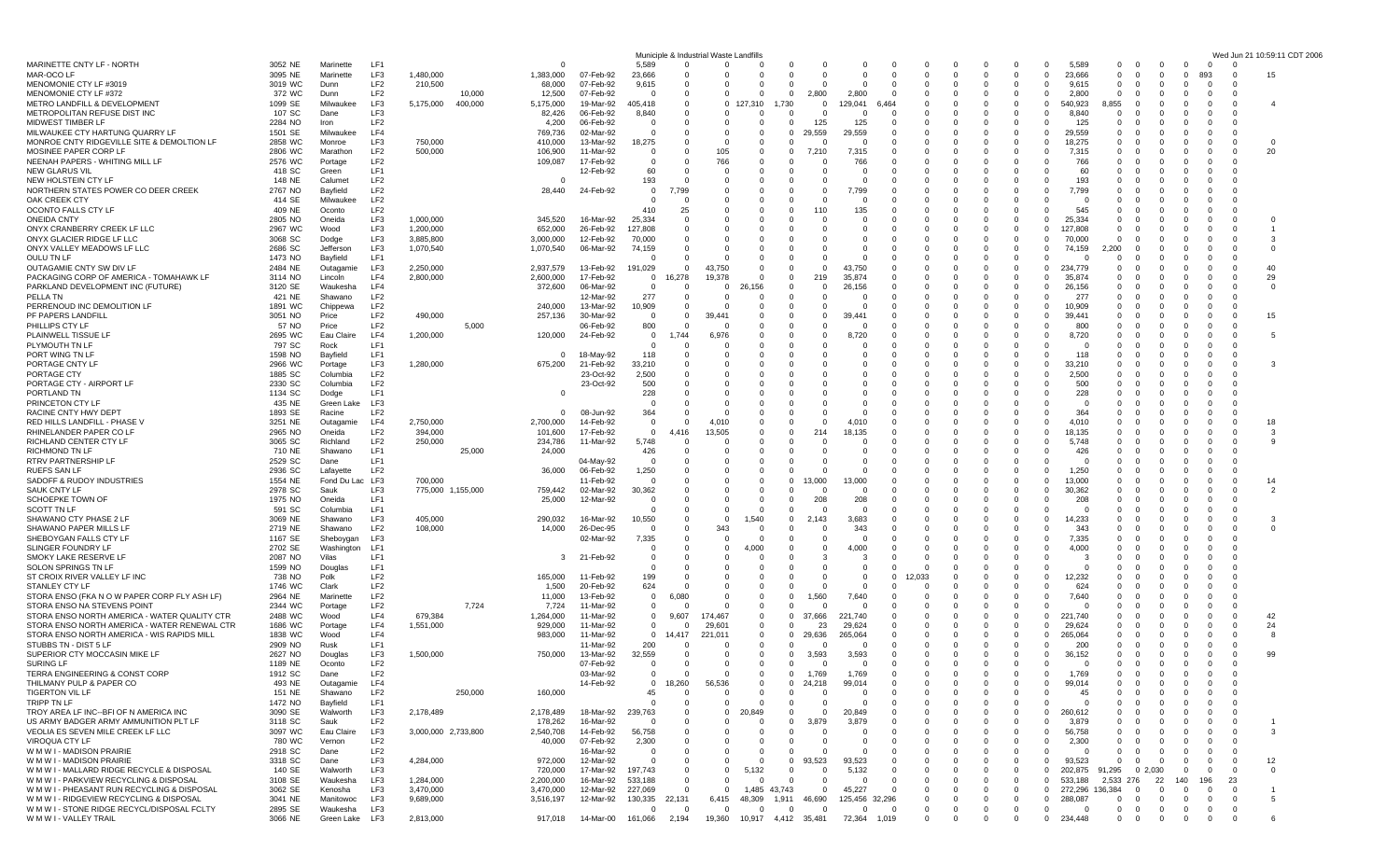|                                                                                        |                    |                      |                        |                        |         |                        |                         | Municiple 8                | Industrial                | vaste           |                               |                                     |                      |                      |                         |                        |                      |                      |                                                                |                                                                   |                                                             |                         | Wed Jur                           | 10:59:11<br>CDT 2006 |
|----------------------------------------------------------------------------------------|--------------------|----------------------|------------------------|------------------------|---------|------------------------|-------------------------|----------------------------|---------------------------|-----------------|-------------------------------|-------------------------------------|----------------------|----------------------|-------------------------|------------------------|----------------------|----------------------|----------------------------------------------------------------|-------------------------------------------------------------------|-------------------------------------------------------------|-------------------------|-----------------------------------|----------------------|
| MARINETTE CNTY LF - NORTH                                                              | 3052 NE            | Marinette            | LF1                    |                        |         | $\Omega$               |                         | 5,589                      | $\mathbf 0$               | 0               | 0                             | $\mathbf 0$                         |                      |                      |                         | 0                      | $\Omega$             |                      | $^{\circ}$<br>$\Omega$                                         | 5,589<br>$^{\circ}$                                               | $\mathbf{0}$<br>$\Omega$                                    | $\mathbf 0$             | $\overline{0}$<br>$\Omega$        |                      |
| MAR-OCO LF<br>MENOMONIE CTY LF #3019                                                   | 3095 NE<br>3019 WC | Marinette<br>Dunn    | LF3<br>LF <sub>2</sub> | 1,480,000<br>210,500   |         | 1,383,000<br>68,000    | 07-Feb-92<br>07-Feb-92  | 23,666<br>9,615            | $\Omega$<br>- 0           | 0<br>0          | $\Omega$<br>0                 | $\Omega$<br>$\Omega$                | - 0<br>- 0           | $\Omega$<br>n        | $\Omega$<br>- 0         | $\Omega$<br>$\Omega$   | - 0<br>- 0           | $\Omega$<br>$\Omega$ | $\overline{0}$<br>$\Omega$<br>$\overline{0}$<br>$\overline{0}$ | 23,666<br>$\mathbf 0$<br>9,615<br>$\mathbf{0}$                    | $\overline{\mathbf{0}}$<br>$\Omega$<br>$\overline{0}$<br>-0 | $\mathbf 0$<br>$\Omega$ | 893<br>$\mathbf 0$<br>- 0         | 15                   |
| MENOMONIE CTY LF #372                                                                  | 372 WC             | Dunn                 | LF2                    |                        | 10,000  | 12,500                 | 07-Feb-92               | $\Omega$                   | $\Omega$                  | 0               | $\Omega$                      | $\overline{0}$                      | 2,800                | 2,800                |                         | $\Omega$               | $\Omega$             | $\Omega$             | $^{\circ}$<br>$\Omega$                                         | 2,800<br>$\Omega$                                                 | - 0                                                         |                         | -0                                |                      |
| METRO LANDFILL & DEVELOPMENT                                                           | 1099 SE            | Milwaukee            | LF3                    | 5,175,000              | 400,000 | 5,175,000              | 19-Mar-92               | 405,418                    | $\Omega$                  | 0               | '.310                         | 1,730                               | - 0                  | 129,041              | 6,464                   | C                      | $\Omega$             |                      | $^{\circ}$<br>$\Omega$                                         | 540,923<br>8,855                                                  | - 0                                                         |                         | -0                                | 4                    |
| METROPOLITAN REFUSE DIST INC                                                           | 107 SC             | Dane                 | LF3                    |                        |         | 82,426                 | 06-Feb-92               | 8,840                      | $\Omega$                  | 0               | 0                             | $\Omega$                            | - 0                  |                      |                         | 0                      | $\Omega$             | $\Omega$             | $^{\circ}$                                                     | 8.840<br>$\Omega$<br>$\Omega$                                     | - 0                                                         |                         | -0                                |                      |
| MIDWEST TIMBER LF                                                                      | 2284 NO            | Iron                 | LF2                    |                        |         | 4,200                  | 06-Feb-92               | $\mathbf 0$                | $\Omega$                  | 0               | $\Omega$                      | $\overline{0}$                      | 125                  | 125                  | $\Omega$                | $\Omega$               | $\Omega$             | $\Omega$             | $\mathbf 0$<br>$\Omega$                                        | 125<br>$\Omega$                                                   | - 0                                                         | 0                       | $\Omega$                          |                      |
| MILWAUKEE CTY HARTUNG QUARRY LF                                                        | 1501 SE            | Milwaukee            | LF4                    |                        |         | 769,736                | 02-Mar-92               | $\Omega$                   |                           | $\Omega$        | $\Omega$                      | $^{\circ}$                          | 29,559               | 29,559               | - 0                     | $\Omega$               |                      |                      | $\overline{0}$<br>$\Omega$                                     | 29,559<br>$\Omega$                                                | - 0                                                         |                         |                                   |                      |
| MONROE CNTY RIDGEVILLE SITE & DEMOLTION LF<br>MOSINEE PAPER CORP LF                    | 2858 WC<br>2806 WC | Monroe<br>Marathon   | LF3<br>LF <sub>2</sub> | 750,000<br>500,000     |         | 410,000<br>106,900     | 13-Mar-92<br>11-Mar-92  | 18,275<br>- 0              | - 0                       | 0<br>105        | $\Omega$<br>0                 | $\Omega$<br>$\mathbf 0$             | 7,210                | - 0<br>7,315         | - 0                     | -0<br>0                | $\Omega$             | $\Omega$             | $^{\circ}$<br>$\Omega$<br>$^{\circ}$<br>$\mathbf 0$            | 18.275<br>$\Omega$<br>7,315<br>0                                  | - 0<br>- 0                                                  | -0                      | -0<br>- 0<br>-0                   | $\Omega$<br>20       |
| NEENAH PAPERS - WHITING MILL LF                                                        | 2576 WC            | Portage              | LF <sub>2</sub>        |                        |         | 109,087                | 17-Feb-92               | $\mathbf 0$                |                           | 766             | $\Omega$                      | $\Omega$                            |                      | 766                  |                         | C                      |                      |                      | $\Omega$<br>$\Omega$                                           | 766<br>$\Omega$                                                   |                                                             |                         | - 0                               |                      |
| <b>NEW GLARUS VIL</b>                                                                  | 418 SC             | Green                | LF1                    |                        |         |                        | 12-Feb-92               | 60                         |                           | 0               | 0                             | $\Omega$                            |                      |                      |                         | C                      |                      |                      | $\mathbf 0$                                                    | 60                                                                | 0                                                           |                         | - 0                               |                      |
| NEW HOLSTEIN CTY LF                                                                    | 148 NE             | Calumet              | LF <sub>2</sub>        |                        |         | 0                      |                         | 193                        |                           | 0               |                               | $\Omega$                            | - 0                  | $\Omega$             |                         | $\Omega$               | $\Omega$             |                      | $^{\circ}$                                                     | 193<br>$\Omega$<br>$\Omega$                                       | - 0                                                         |                         | -0                                |                      |
| NORTHERN STATES POWER CO DEER CREEK                                                    | 2767 NO            | Bayfield             | LF <sub>2</sub>        |                        |         | 28,440                 | 24-Feb-92               | $\mathbf 0$                | 7,799                     |                 |                               | $\Omega$                            |                      | 7,799                |                         | $\Omega$               |                      |                      | $^{\circ}$                                                     | 7,799<br>$\Omega$                                                 | - 0                                                         |                         |                                   |                      |
| OAK CREEK CTY                                                                          | 414 SE             | Milwaukee            | LF <sub>2</sub>        |                        |         |                        |                         | $\Omega$                   |                           | 0               |                               | $\Omega$                            |                      |                      |                         | $\Omega$               |                      |                      | $\mathbf 0$                                                    | $\Omega$                                                          | $\mathbf 0$                                                 |                         |                                   |                      |
| OCONTO FALLS CTY LF<br><b>ONEIDA CNTY</b>                                              | 409 NE<br>2805 NO  | Oconto<br>Oneida     | LF <sub>2</sub><br>LF3 | 1,000,000              |         | 345,520                | 16-Mar-92               | 410<br>25,334              | 25<br>$\Omega$            | 0<br>0          | n                             | $\Omega$                            | 110                  | 135<br>$\Omega$      |                         | 0<br>C                 | - 0                  | <sup>0</sup>         | $^{\circ}$<br>$\Omega$<br>$\Omega$                             | 545<br>$\Omega$<br>0<br>25,334<br>$\Omega$                        | - 0<br>$\overline{0}$                                       |                         | -0<br>$\Omega$                    | O                    |
| ONYX CRANBERRY CREEK LF LLC                                                            | 2967 WC            | Wood                 | LF3                    | 1,200,000              |         | 652,000                | 26-Feb-92               | 127,808                    |                           |                 |                               |                                     |                      |                      |                         |                        |                      |                      | $\mathbf 0$                                                    | $\Omega$<br>127,808                                               | $\Omega$                                                    |                         | - 0                               |                      |
| ONYX GLACIER RIDGE LF LLC                                                              | 3068 SC            | Dodge                | LF3                    | 3,885,800              |         | 3,000,000              | 12-Feb-92               | 70,000                     | - 0                       |                 |                               |                                     |                      | 0                    |                         | 0                      | $\Omega$             | $\Omega$             | $^{\circ}$                                                     | 70,000<br>$\mathbf 0$<br>$\Omega$                                 | - 0                                                         | υ                       | -0                                | 3                    |
| ONYX VALLEY MEADOWS LF LLC                                                             | 2686 SC            | Jefferson            | LF3                    | 1,070,540              |         | 1,070,540              | 06-Mar-92               | 74,159                     | $\Omega$                  | O               | $\Omega$                      | $\Omega$                            |                      | $\Omega$             | - 0                     | $\Omega$               | $\Omega$             | $\Omega$             | $\Omega$                                                       | $\overline{0}$<br>74,159<br>2.200                                 | $\overline{0}$                                              | O                       | - 0                               | $\Omega$             |
| OULU TN LF                                                                             | 1473 NO            | Bayfield             | LF1                    |                        |         |                        |                         | $\Omega$                   |                           |                 |                               |                                     |                      |                      |                         |                        |                      |                      | $^{\circ}$<br>$\Omega$                                         | $\Omega$                                                          | $\mathbf 0$                                                 |                         |                                   |                      |
| OUTAGAMIE CNTY SW DIV LF                                                               | 2484 NE            | Outagamie            | LF3                    | 2,250,000              |         | 2,937,579              | 13-Feb-92               | 191,029                    | $\mathbf 0$               | 43,750          | 0                             | -0                                  | - 0                  | 43,750               | - 0                     | 0                      | - 0                  | $\Omega$             | $^{\circ}$<br>$\overline{0}$                                   | 234,779<br>0                                                      | - 0                                                         | 0                       | - 0                               | 40                   |
| PACKAGING CORP OF AMERICA - TOMAHAWK LF<br>PARKLAND DEVELOPMENT INC (FUTURE)           | 3114 NO<br>3120 SE | Lincoln<br>Waukesha  | LF4<br>LF4             | 2,800,000              |         | 2,600,000<br>372,600   | 17-Feb-92<br>06-Mar-92  | $\mathbf 0$<br>0           | 16,278                    | 19,378<br>0     | $\Omega$<br>26,156            | $\Omega$                            | 219                  | 35,874<br>26,156     | $\Omega$                |                        | $\Omega$             | <sup>0</sup>         | $\Omega$<br>$\Omega$<br>$^{\circ}$                             | 35.874<br>$\Omega$<br>26,156<br>$\Omega$<br>0                     | $\Omega$                                                    | O                       | - 0<br>-0                         | 29<br>$\mathbf 0$    |
| PELLA TN                                                                               | 421 NE             | Shawano              | LF <sub>2</sub>        |                        |         |                        | 12-Mar-92               | 277                        | - 0                       | 0               | 0                             | -0                                  | - 0                  |                      | - 0                     | 0                      | $\Omega$             | $\Omega$             | $^{\circ}$<br>$\Omega$                                         | 277<br>$\Omega$                                                   | - 0                                                         | 0                       | - 0                               |                      |
| PERRENOUD INC DEMOLITION LF                                                            | 1891 WC            | Chippewa             | LF <sub>2</sub>        |                        |         | 240,000                | 13-Mar-92               | 10,909                     | $\Omega$                  |                 | 0                             | $\Omega$                            |                      |                      |                         | $\Omega$               | $\Omega$             | $\Omega$             | $^{\circ}$<br>$\Omega$                                         | 10,909<br>$\Omega$                                                | - 0                                                         | 0                       | -0                                |                      |
| PF PAPERS LANDFILL                                                                     | 3051 NO            | Price                | LF <sub>2</sub>        | 490,000                |         | 257,136                | 30-Mar-92               | $\overline{0}$             | $\Omega$                  | 39.441          |                               |                                     |                      |                      |                         |                        |                      |                      | $\mathbf 0$                                                    | 39,441                                                            | - 0                                                         |                         |                                   | 15                   |
| PHILLIPS CTY LF                                                                        | 57 NO              | Price                | LF2                    |                        | 5,000   |                        | 06-Feb-92               | 800                        | $\Omega$                  | $\Omega$        | 0                             | $\Omega$                            |                      |                      |                         | 0                      | $\Omega$             | $\Omega$             | $^{\circ}$<br>$\Omega$                                         | 800<br>0                                                          | $\mathbf 0$                                                 | 0                       | -0<br>- 0                         |                      |
| PLAINWELL TISSUE LF                                                                    | 2695 WC            | Eau Claire           | LF4                    | 1,200,000              |         | 120,000                | 24-Feb-92               | $\mathbf 0$                | 1.744                     | 6,976           | $\Omega$                      |                                     |                      | 8,720                |                         |                        | $\Omega$             |                      | $\Omega$<br>$\Omega$                                           | 8,720<br>$\Omega$                                                 | $\Omega$                                                    |                         | - 0                               | 5                    |
| PLYMOUTH TN LF                                                                         | 797 SC             | Rock                 | LF1                    |                        |         |                        |                         | $\Omega$                   |                           |                 |                               |                                     |                      |                      |                         | $\Omega$               | - 0                  |                      | $\Omega$<br>$\Omega$<br>$\Omega$                               | $\Omega$<br>- 0<br>$\Omega$                                       | $\Omega$                                                    |                         | - 0                               |                      |
| PORT WING TN LF<br>PORTAGE CNTY LF                                                     | 1598 NO<br>2966 WC | Bayfield<br>Portage  | LF1<br>LF3             | 1,280,000              |         | 0<br>675,200           | 18-May-92<br>21-Feb-92  | 118<br>33,210              |                           |                 |                               |                                     |                      |                      |                         | 0<br>$\Omega$          | $\Omega$<br>$\Omega$ |                      | $^{\circ}$                                                     | 118<br>$\Omega$<br>33.210<br>$\Omega$<br>$\Omega$                 | $\Omega$<br>- 0                                             |                         | - 0<br>-0                         | З                    |
| PORTAGE CTY                                                                            | 1885 SC            | Columbia             | LF <sub>2</sub>        |                        |         |                        | 23-Oct-92               | 2,500                      | $\Omega$                  |                 |                               | $\Omega$                            |                      |                      |                         | $\Omega$               | $\Omega$             | $\Omega$             | $\Omega$<br>$\Omega$                                           | 2,500<br>$\Omega$                                                 | - 0                                                         | O                       | - 0                               |                      |
| PORTAGE CTY - AIRPORT LF                                                               | 2330 SC            | Columbia             | LF <sub>2</sub>        |                        |         |                        | 23-Oct-92               | 500                        |                           | O               |                               |                                     |                      |                      |                         | $\Omega$               |                      |                      | $\Omega$<br>$\Omega$                                           | 500<br>$\Omega$                                                   | - 0                                                         |                         | -0                                |                      |
| PORTLAND TN                                                                            | 1134 SC            | Dodge                | LF1                    |                        |         | 0                      |                         | 228                        | - 0                       | 0               |                               |                                     |                      |                      |                         | 0                      | - 0                  |                      | $^{\circ}$<br>$\mathbf 0$                                      | 228<br>$\Omega$                                                   | - 0                                                         |                         | -0                                |                      |
| PRINCETON CTY LF                                                                       | 435 NE             | Green Lake           | LF3                    |                        |         |                        |                         | - 0                        |                           | $\Omega$        |                               |                                     |                      |                      |                         | $\Omega$               | $\Omega$             |                      | $\Omega$<br>$\Omega$                                           | $\Omega$<br>$\Omega$                                              | - 0                                                         |                         | - 0                               |                      |
| RACINE CNTY HWY DEPT                                                                   | 1893 SE            | Racine               | LF <sub>2</sub>        |                        |         | $\Omega$               | 08-Jun-92               | 364                        |                           | 0               |                               |                                     |                      |                      |                         | 0                      | 0                    |                      | $\mathbf 0$                                                    | 364<br>$\Omega$<br>0                                              | $\Omega$                                                    |                         |                                   |                      |
| RED HILLS LANDFILL - PHASE \<br>RHINELANDER PAPER CO LF                                | 3251 NE<br>2965 NO | Outagamie<br>Oneida  | LF4<br>LF <sub>2</sub> | 2,750,000<br>394,000   |         | 2,700,000              | 14-Feb-92<br>17-Feb-92  | $\overline{0}$<br>$\Omega$ | $\Omega$<br>4.416         | 4,010<br>13,505 |                               | $\Omega$                            | - 0<br>214           | 4,010<br>18,135      |                         | $^{\circ}$<br>$\Omega$ | $\Omega$<br>$\Omega$ |                      | $^{\circ}$<br>$\Omega$<br>$\Omega$<br>$\Omega$                 | 4,010<br>0<br>18,135<br>$\Omega$                                  | $\mathbf 0$<br>$\Omega$                                     | 0<br>O                  | -0<br>- 0<br>- 0                  | 18<br>3              |
| RICHLAND CENTER CTY LF                                                                 | 3065 SC            | Richland             | LF2                    | 250,000                |         | 101,600<br>234,786     | 11-Mar-92               | 5,748                      |                           | $\Omega$        | 0                             | $\Omega$                            |                      |                      |                         | 0                      |                      |                      | $\mathbf 0$<br>$\mathbf 0$                                     | 5.748<br>$\Omega$                                                 | $\mathbf 0$                                                 | 0                       | -0                                | 9                    |
| <b>RICHMOND TN LF</b>                                                                  | 710 NE             | Shawano              | LF1                    |                        | 25,000  | 24,000                 |                         | 426                        |                           | 0               | 0                             |                                     | - 0                  | $\Omega$             |                         | 0                      |                      |                      | $^{\circ}$<br>$\mathbf 0$                                      | 426<br>$\Omega$                                                   |                                                             |                         | -0                                |                      |
| RTRV PARTNERSHIP LF                                                                    | 2529 SC            | Dane                 | LF <sub>1</sub>        |                        |         |                        | 04-May-92               | $\Omega$                   |                           | 0               |                               | $\Omega$                            |                      |                      |                         |                        | $\Omega$             |                      | $\Omega$                                                       | $\Omega$<br>$\Omega$<br>$\Omega$                                  | n                                                           |                         | - 0                               |                      |
| <b>RUEFS SAN LF</b>                                                                    | 2936 SC            | Lafayette            | LF <sub>2</sub>        |                        |         | 36,000                 | 06-Feb-92               | 1,250                      |                           |                 |                               | $\Omega$                            |                      |                      |                         | -C                     |                      |                      | $\Omega$                                                       | 1,250<br>0                                                        | 0                                                           |                         | - 0                               |                      |
| SADOFF & RUDOY INDUSTRIES                                                              | 1554 NE            | Fond Du Lac LF3      |                        | 700,000                |         |                        | 11-Feb-92               | 0                          |                           | 0               | 0                             | $\mathbf 0$                         | 3,000                | 13,000               | - 0                     | 0                      | $\Omega$             | $\Omega$             | $^{\circ}$<br>$\Omega$                                         | 13,000<br>$\Omega$                                                | - 0                                                         |                         | -0                                | 14                   |
| <b>SAUK CNTY LF</b>                                                                    | 2978 SC<br>1975 NO | Sauk<br>Oneida       | LF3<br>LF1             | 775,000 1,155,000      |         | 759,442                | 02-Mar-92<br>12-Mar-92  | 30,362<br>0                |                           | O               | $\Omega$<br>0                 | $\Omega$<br>$\mathbf 0$             | 208                  | $\Omega$<br>208      |                         | $\Omega$               | $\Omega$             |                      | $\Omega$<br>$^{\circ}$                                         | 30,362<br>$\Omega$<br>$\Omega$<br>208<br>$\Omega$<br><sup>0</sup> | $\Omega$<br>- 0                                             | 0                       | - 0<br>-0                         | $\overline{2}$       |
| <b>SCHOEPKE TOWN OF</b><br>SCOTT TN LF                                                 | 591 SC             | Columbia             | LF1                    |                        |         | 25,000                 |                         | 0                          | $\Omega$                  | 0               | 0                             | $\overline{0}$                      | - 0                  | - 0                  |                         | $\Omega$               |                      | $\Omega$             | $^{\circ}$<br>$\Omega$                                         | - 0<br>$\Omega$                                                   | - 0                                                         |                         | -0                                |                      |
| SHAWANO CTY PHASE 2 LF                                                                 | 3069 NE            | Shawano              | LF3                    | 405,000                |         | 290,032                | 16-Mar-92               | 10,550                     | $\Omega$                  | $\Omega$        | 1.540                         | $\Omega$                            | 143<br>2             | 3,683                |                         | C                      | - 0                  |                      | $\Omega$<br>$\Omega$                                           | 14,233<br>$\Omega$                                                | $\Omega$                                                    |                         | $\Omega$                          | З                    |
| SHAWANO PAPER MILLS LF                                                                 | 2719 NE            | Shawano              | LF <sub>2</sub>        | 108,000                |         | 14,000                 | 26-Dec-95               | - 0                        |                           | 343             | 0                             | -0                                  |                      | 343                  |                         | 0                      | $\Omega$             |                      | $\Omega$<br>$\Omega$                                           | 343<br>$\Omega$                                                   | - 0                                                         |                         | -0                                | 0                    |
| SHEBOYGAN FALLS CTY LF                                                                 | 1167 SE            | Sheboygan            | LF3                    |                        |         |                        | 02-Mar-92               | 7,335                      | - 0                       | 0               | 0                             | -0                                  | - 0                  | - 0                  | - 0                     | 0                      | $\Omega$             |                      | $^{\circ}$<br>$\Omega$                                         | 7,335<br>$\Omega$                                                 | - 0                                                         |                         | - 0                               |                      |
| SLINGER FOUNDRY LF                                                                     | 2702 SE            | Washington           | LF1                    |                        |         |                        |                         | $\Omega$                   |                           | 0               | .റററ                          | $\Omega$                            |                      | 4,000                | $\Omega$                | $\Omega$               | $\Omega$             | $\Omega$             | $^{\circ}$                                                     | 4,000<br>$\Omega$<br>$\Omega$                                     | - 0                                                         |                         | -0                                |                      |
| SMOKY LAKE RESERVE LF                                                                  | 2087 NO            | Vilas                | LF1<br>LF1             |                        |         | 3                      | 21-Feb-92               | $\Omega$<br>$\Omega$       |                           |                 |                               | $\Omega$                            |                      |                      |                         | $\Omega$               |                      |                      | $\Omega$<br>$\Omega$                                           | -3                                                                | - 0                                                         |                         | -0                                |                      |
| SOLON SPRINGS TN LF<br>ST CROIX RIVER VALLEY LF INC                                    | 1599 NO<br>738 NO  | Douglas<br>Polk      | LF2                    |                        |         | 165,000                | 11-Feb-92               | 199                        |                           | 0<br>$\Omega$   | $\Omega$<br>$\Omega$          | $\Omega$                            | - 0<br>- 0           | $\Omega$<br>$\Omega$ | - 0<br>$\Omega$         | 0<br>12.033            | - 0<br>- 0           |                      | $^{\circ}$<br>$\Omega$<br>$\Omega$                             | - 0<br>$\Omega$<br>12,232<br>$\Omega$                             | - 0<br>$\Omega$                                             |                         | -0<br>-0                          |                      |
| STANLEY CTY LF                                                                         | 1746 WC            | Clark                | LF <sub>2</sub>        |                        |         | 1,500                  | 20-Feb-92               | 624                        | $\Omega$                  | 0               |                               | $\Omega$                            | - 0                  |                      |                         | C                      | - 0                  |                      | $^{\circ}$<br>$\Omega$                                         | 624<br>$\Omega$                                                   | - 0                                                         |                         | - 0                               |                      |
| STORA ENSO (FKA N O W PAPER CORP FLY ASH LF)                                           | 2964 NE            | Marinette            | LF <sub>2</sub>        |                        |         | 11,000                 | 13-Feb-92               | $\overline{0}$             | 6,080                     | 0               | 0                             | $\mathbf 0$                         | ,560                 | 7,640                | - 0                     | 0                      | - 0                  | $\Omega$             | $^{\circ}$                                                     | 7.640<br>$\Omega$<br>$\Omega$                                     | - 0                                                         |                         |                                   |                      |
| STORA ENSO NA STEVENS POINT                                                            | 2344 WC            | Portage              | LF2                    |                        | 7,724   | 7,724                  | 11-Mar-92               | $\overline{0}$             |                           | $\Omega$        | $\Omega$                      | $\Omega$                            |                      | $\Omega$             | $\Omega$                | $\Omega$               | $\Omega$             | $\Omega$             | $\overline{0}$                                                 | $\Omega$<br>$\Omega$<br>$\Omega$                                  | - 0                                                         | 0                       | $\Omega$                          |                      |
| STORA ENSO NORTH AMERICA - WATER QUALITY CTR                                           | 2488 WC            | Wood                 | LF4                    | 679,384                |         | 1,264,000              | 11-Mar-92               | $^{\circ}$                 | 9,607                     | 174,467         | 0                             | $\overline{0}$                      | 37,666               | 221<br>.740          |                         | $\Omega$               |                      |                      | $\Omega$<br>$\Omega$                                           | 221,740<br>$\Omega$                                               | - 0                                                         |                         |                                   | 42                   |
| STORA ENSO NORTH AMERICA - WATER RENEWAL CTR                                           | 1686 WC            | Portage              | LF4                    | 1,551,000              |         | 929,000                | 11-Mar-92               | $\overline{0}$             | $\Omega$                  | 29,601          | $\Omega$                      | $\overline{0}$                      | 23                   | 29,624               | - 0                     | -0                     |                      |                      | $^{\circ}$                                                     | 29.624<br>$\Omega$<br>0                                           | - 0                                                         | $\Omega$                | -0                                | 24                   |
| STORA ENSO NORTH AMERICA - WIS RAPIDS MILL<br>STUBBS TN - DIST 5 LF                    | 1838 WC<br>2909 NO | Wood<br>Rusk         | LF4<br>LF1             |                        |         | 983,000                | 11-Mar-92<br>11-Mar-92  | $\overline{0}$<br>200      | 14,417                    | 221,011         | 0                             | $\overline{\mathbf{0}}$<br>$\Omega$ | 29,636               | 265,064              |                         |                        |                      |                      | $^{\circ}$<br>$\Omega$<br>$\Omega$                             | $\mathbf 0$<br>265,064<br>200<br>$\Omega$                         | $\Omega$                                                    |                         | - 0                               | 8                    |
| SUPERIOR CTY MOCCASIN MIKE LF                                                          | 2627 NO            | Douglas              | LF3                    | 1,500,000              |         | 750,000                | 13-Mar-92               | 32,559                     |                           | 0               | 0                             | $\mathbf 0$                         | 3,593                | 3,593                |                         | $\Omega$               | 0                    |                      | $^{\circ}$                                                     | 36,152<br>$\mathbf 0$<br>$\mathbf{0}$                             | $\overline{\mathbf{0}}$<br>$\Omega$                         | $\mathbf 0$             | $\Omega$                          | 99                   |
| SURING LF                                                                              | 1189 NE            | Oconto               | LF <sub>2</sub>        |                        |         |                        | 07-Feb-92               | 0                          | $\mathbf 0$               | 0               | $\mathbf{0}$                  | $\mathbf 0$                         | $\Omega$             | $\overline{0}$       | $\overline{0}$          | $^{\circ}$             | $\overline{0}$       | $\mathbf 0$          | $\overline{0}$<br>$\overline{0}$                               | $^{\circ}$<br>$\mathbf{0}$                                        | $\overline{0}$<br>$\mathbf{0}$                              | $\mathbf 0$             | $\Omega$<br>$\mathbf 0$           |                      |
| TERRA ENGINEERING & CONST CORP                                                         | 1912 SC            | Dane                 | LF <sub>2</sub>        |                        |         |                        | 03-Mar-92               | $\Omega$                   |                           | 0               | 0                             | 0                                   | 1,769                | 1,769                | $\overline{\mathbf{0}}$ | $\Omega$               | $\overline{0}$       | $\mathbf 0$          | $\overline{0}$<br>$\Omega$                                     | 1,769<br>$\mathbf{0}$                                             | $\overline{0}$<br>$\mathbf{0}$                              | $\overline{0}$          | $\Omega$<br>- 0                   |                      |
| THILMANY PULP & PAPER CO                                                               | 493 NE             | Outagamie            | LF4                    |                        |         |                        | 14-Feb-92               | $^{\circ}$                 | 18,260                    | 56,536          | 0                             | $\mathbf 0$                         | 24,218               | 99,014               |                         | $\Omega$               | $\Omega$             |                      | $\mathbf 0$                                                    | $^{\circ}$<br>99,014<br>$\Omega$                                  | $\overline{0}$                                              | $\Omega$                | $\Omega$<br>- 0                   |                      |
| <b>TIGERTON VIL LF</b>                                                                 | 151 NE             | Shawano              | LF <sub>2</sub>        |                        | 250,000 | 160,000                |                         | 45                         | - 0                       | 0               | $\mathbf 0$                   | $\mathbf 0$                         | $\Omega$             | 0                    |                         | $\Omega$               | - 0                  | $\Omega$             | $\overline{0}$<br>$\overline{0}$                               | 45<br>$\Omega$                                                    | - 0                                                         | $^{\circ}$              | 0                                 |                      |
| TRIPP TN LF<br>TROY AREA LF INC--BFI OF N AMERICA INC                                  | 1472 NO            | Bayfield             | LF <sub>1</sub>        |                        |         |                        |                         | $\Omega$                   | $\Omega$                  | $\Omega$        | $\Omega$                      | $\Omega$<br>$\Omega$                | $\Omega$<br>$\Omega$ | $\Omega$             |                         |                        | - 0<br>$\Omega$      | $\Omega$             | $\Omega$<br>$\Omega$                                           | $\Omega$<br>$\Omega$                                              | $\Omega$                                                    |                         | $\Omega$<br>$\Omega$              |                      |
| US ARMY BADGER ARMY AMMUNITION PLT LF                                                  | 3090 SE<br>3118 SC | Walworth<br>Sauk     | LF3<br>LF <sub>2</sub> | 2,178,489              |         | 2,178,489<br>178,262   | 18-Mar-92<br>16-Mar-92  | 239,763<br>$\mathbf 0$     | 0                         | 0<br>0          | 20,849<br>0                   | $\mathbf 0$                         | 3,879                | 20,849<br>3,879      | - 0                     | $\Omega$               | - 0                  | 0                    | $\mathbf 0$<br>$^{\circ}$<br>$\mathbf 0$                       | 260,612<br>0<br>3,879<br>$\Omega$                                 | - 0                                                         |                         | - 0                               |                      |
| VEOLIA ES SEVEN MILE CREEK LF LLC                                                      | 3097 WC            | Eau Claire           | LF3                    | 3,000,000 2,733,800    |         | 2,540,708              | 14-Feb-92               | 56,758                     | $\Omega$                  | 0               | $\Omega$                      | $\Omega$                            | $\Omega$             | $\Omega$             | $\Omega$                | $\Omega$               | $\Omega$             | $\Omega$             | $\mathbf 0$                                                    | $\Omega$<br>56,758<br>$\Omega$                                    | $\overline{0}$<br>$\Omega$                                  | $\Omega$                | $\Omega$                          | 3                    |
| VIROQUA CTY LF                                                                         | 780 WC             | Vernon               | LF2                    |                        |         | 40,000                 | 07-Feb-92               | 2,300                      | $\Omega$                  |                 | 0                             | $\mathbf 0$                         | $\Omega$             |                      | $\Omega$                | $^{\circ}$             | 0                    | $\Omega$             | $\overline{0}$                                                 | 2,300<br>0<br>$^{\circ}$                                          | $\overline{0}$                                              |                         | 0                                 |                      |
| W M W I - MADISON PRAIRIE                                                              | 2918 SC            | Dane                 | LF2                    |                        |         |                        | 16-Mar-92               | $\mathbf 0$                | - 0                       | 0               | 0                             | $\overline{0}$                      | - 0                  | 0                    | - 0                     | $\Omega$               | - 0                  | $^{\circ}$           | $\overline{0}$                                                 | $^{\circ}$<br>$\mathbf 0$<br>$\mathbf{0}$                         | $\overline{0}$<br>$\Omega$                                  |                         | - 0                               |                      |
| W M W I - MADISON PRAIRIE                                                              | 3318 SC            | Dane                 | LF3                    | 4,284,000              |         | 972,000                | 12-Mar-92               | $\Omega$                   | $\Omega$                  | $\Omega$        | $\Omega$                      | $\overline{0}$                      | 93,523               | 93,523               | $\Omega$                | $\Omega$               | $\Omega$             | $\Omega$             | $\Omega$<br>$\Omega$                                           | 93,523<br>$\mathbf{0}$                                            | $\overline{0}$<br>$\Omega$                                  | $\Omega$                | - 0                               | 12                   |
| W M W I - MALLARD RIDGE RECYCLE & DISPOSAL                                             | 140 SE             | Walworth             | LF3                    |                        |         | 720,000                | 17-Mar-92               | 197,743                    | $\Omega$                  | 0               | 5,132                         | $\overline{0}$                      |                      | 5,132                |                         | $\Omega$               | 0                    |                      | $\mathbf 0$                                                    | 202,875 91,295<br>0                                               | 0 2,030                                                     | 0                       | - 0                               | $^{\circ}$           |
| W M W I - PARKVIEW RECYCLING & DISPOSAL<br>W M W I - PHEASANT RUN RECYCLING & DISPOSAL | 3108 SE<br>3062 SE | Waukesha             | LF3<br>LF3             | 1,284,000              |         | 2,200,000              | 16-Mar-92<br>12-Mar-92  | 533,188<br>227,069         | $^{\circ}$<br>$\mathbf 0$ | 0<br>0          | 0                             | $\overline{0}$<br>1,485 43,743      | $\Omega$<br>$\Omega$ | $\Omega$<br>45,227   | $\Omega$<br>$\Omega$    | 0<br>$\mathbf 0$       | - 0<br>- 0           | 0<br>$^{\circ}$      | $\overline{0}$<br>$\overline{0}$                               | 533,188<br>2,533 276<br>$\mathbf 0$<br>$\mathbf 0$                | 22<br>$\overline{0}$<br>$\Omega$                            | 140<br>$^{\circ}$       | 196<br>23<br>$\Omega$<br>$\Omega$ |                      |
| W M W I - RIDGEVIEW RECYCLING & DISPOSAL                                               | 3041 NE            | Kenosha<br>Manitowoc | LF3                    | 3,470,000<br>9,689,000 |         | 3,470,000<br>3,516,197 | 12-Mar-92               | 130,335 22,131             |                           | 6,415           | 48,309                        | 1,911                               | 46,690               | 125,456 32,296       |                         | $\mathbf 0$            | - 0                  | $^{\circ}$           | $\overline{0}$                                                 | 272,296 136,384<br>$\mathbf 0$<br>288,087<br>$^{\circ}$           | $\overline{0}$<br>$\mathbf 0$                               | $\mathbf 0$             | $\mathbf 0$<br>$\mathbf 0$        | 5                    |
| W M W I - STONE RIDGE RECYCL/DISPOSAL FCLTY                                            | 2895 SE            | Waukesha             | LF3                    |                        |         |                        |                         | $\Omega$                   | - 0                       | $\Omega$        | $\Omega$                      | $\overline{0}$                      | $\Omega$             | $\Omega$             | - 0                     | $\overline{0}$         | $\overline{0}$       | $\mathbf{0}$         | $\overline{0}$<br>$\overline{0}$                               | $\mathbf 0$<br>$\Omega$                                           | $\overline{0}$<br>$\mathbf 0$                               | $\overline{0}$          | $\overline{0}$<br>$\mathbf{0}$    |                      |
| W M W I - VALLEY TRAIL                                                                 | 3066 NE            | Green Lake           | LF3                    | 2,813,000              |         | 917,018                | 14-Mar-00 161,066 2,194 |                            |                           |                 | 19,360  10,917  4,412  35,481 |                                     |                      | 72,364 1,019         |                         | $\mathbf{0}$           | $\overline{0}$       | $\Omega$             | $\overline{0}$                                                 | $\mathbf{0}$<br>234,448<br>$0\quad 0$                             | $\mathbf 0$                                                 | $\overline{0}$          | $\mathbf{0}$<br>$\Omega$          | 6                    |
|                                                                                        |                    |                      |                        |                        |         |                        |                         |                            |                           |                 |                               |                                     |                      |                      |                         |                        |                      |                      |                                                                |                                                                   |                                                             |                         |                                   |                      |